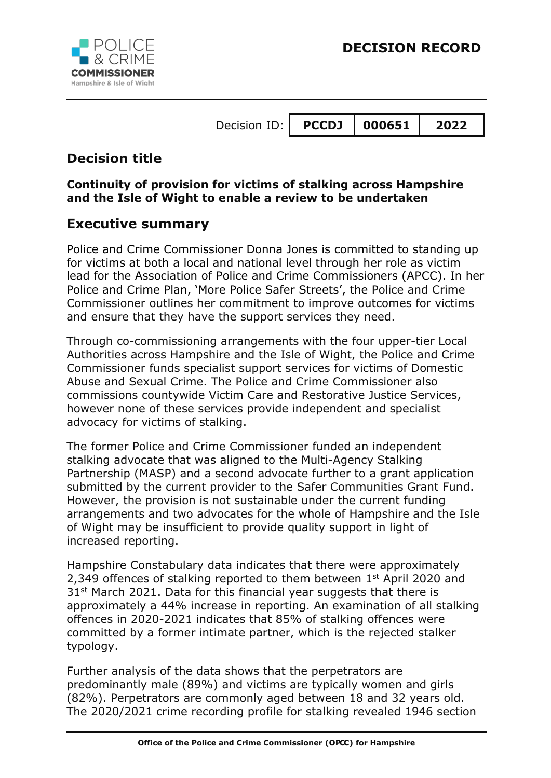

# **Decision title**

**Continuity of provision for victims of stalking across Hampshire and the Isle of Wight to enable a review to be undertaken**

## **Executive summary**

Police and Crime Commissioner Donna Jones is committed to standing up for victims at both a local and national level through her role as victim lead for the Association of Police and Crime Commissioners (APCC). In her Police and Crime Plan, 'More Police Safer Streets', the Police and Crime Commissioner outlines her commitment to improve outcomes for victims and ensure that they have the support services they need.

Through co-commissioning arrangements with the four upper-tier Local Authorities across Hampshire and the Isle of Wight, the Police and Crime Commissioner funds specialist support services for victims of Domestic Abuse and Sexual Crime. The Police and Crime Commissioner also commissions countywide Victim Care and Restorative Justice Services, however none of these services provide independent and specialist advocacy for victims of stalking.

The former Police and Crime Commissioner funded an independent stalking advocate that was aligned to the Multi-Agency Stalking Partnership (MASP) and a second advocate further to a grant application submitted by the current provider to the Safer Communities Grant Fund. However, the provision is not sustainable under the current funding arrangements and two advocates for the whole of Hampshire and the Isle of Wight may be insufficient to provide quality support in light of increased reporting.

Hampshire Constabulary data indicates that there were approximately 2,349 offences of stalking reported to them between 1<sup>st</sup> April 2020 and  $31<sup>st</sup>$  March 2021. Data for this financial year suggests that there is approximately a 44% increase in reporting. An examination of all stalking offences in 2020-2021 indicates that 85% of stalking offences were committed by a former intimate partner, which is the rejected stalker typology.

Further analysis of the data shows that the perpetrators are predominantly male (89%) and victims are typically women and girls (82%). Perpetrators are commonly aged between 18 and 32 years old. The 2020/2021 crime recording profile for stalking revealed 1946 section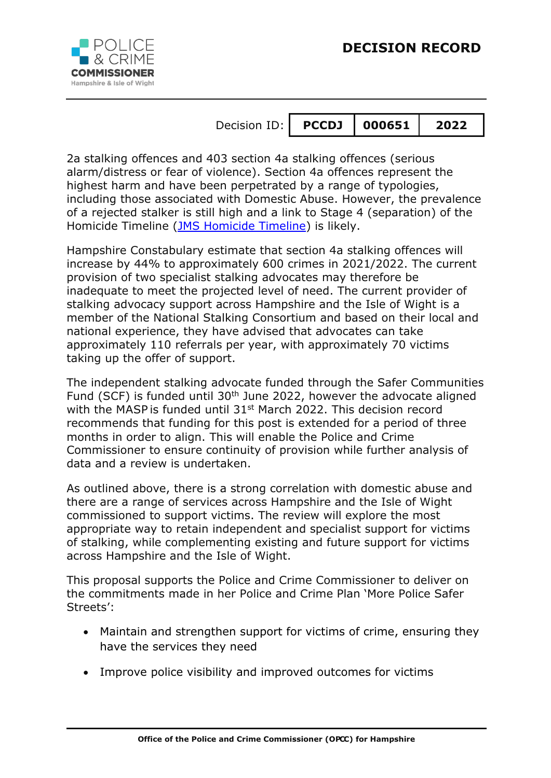

2a stalking offences and 403 section 4a stalking offences (serious alarm/distress or fear of violence). Section 4a offences represent the highest harm and have been perpetrated by a range of typologies, including those associated with Domestic Abuse. However, the prevalence of a rejected stalker is still high and a link to Stage 4 (separation) of the Homicide Timeline [\(JMS Homicide Timeline\)](https://i2-prod.gloucestershirelive.co.uk/article3258364.ece/ALTERNATES/s615b/0_TimelineJPG.jpg) is likely.

Hampshire Constabulary estimate that section 4a stalking offences will increase by 44% to approximately 600 crimes in 2021/2022. The current provision of two specialist stalking advocates may therefore be inadequate to meet the projected level of need. The current provider of stalking advocacy support across Hampshire and the Isle of Wight is a member of the National Stalking Consortium and based on their local and national experience, they have advised that advocates can take approximately 110 referrals per year, with approximately 70 victims taking up the offer of support.

The independent stalking advocate funded through the Safer Communities Fund (SCF) is funded until 30<sup>th</sup> June 2022, however the advocate aligned with the MASP is funded until 31<sup>st</sup> March 2022. This decision record recommends that funding for this post is extended for a period of three months in order to align. This will enable the Police and Crime Commissioner to ensure continuity of provision while further analysis of data and a review is undertaken.

As outlined above, there is a strong correlation with domestic abuse and there are a range of services across Hampshire and the Isle of Wight commissioned to support victims. The review will explore the most appropriate way to retain independent and specialist support for victims of stalking, while complementing existing and future support for victims across Hampshire and the Isle of Wight.

This proposal supports the Police and Crime Commissioner to deliver on the commitments made in her Police and Crime Plan 'More Police Safer Streets':

- Maintain and strengthen support for victims of crime, ensuring they have the services they need
- Improve police visibility and improved outcomes for victims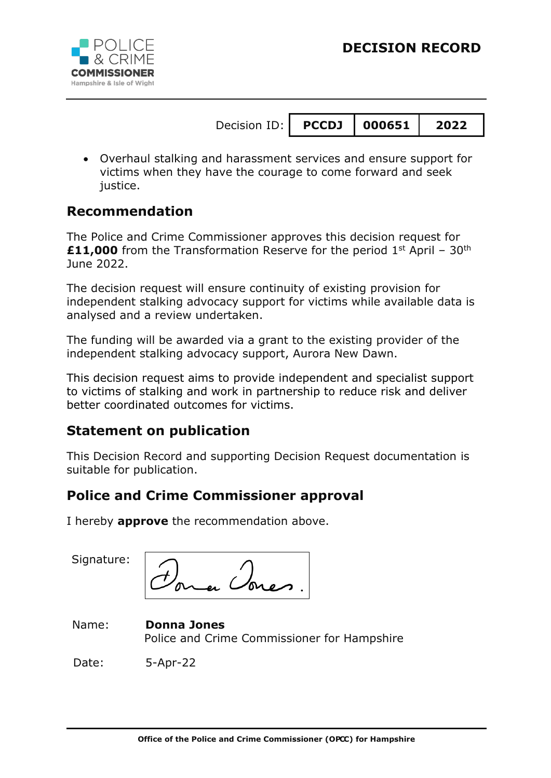

| Decision ID: $\vert$ PCCDJ $\vert$ 000651 $\vert$ |  | 2022 |
|---------------------------------------------------|--|------|
|                                                   |  |      |

 Overhaul stalking and harassment services and ensure support for victims when they have the courage to come forward and seek justice.

## **Recommendation**

The Police and Crime Commissioner approves this decision request for **£11,000** from the Transformation Reserve for the period 1<sup>st</sup> April - 30<sup>th</sup> June 2022.

The decision request will ensure continuity of existing provision for independent stalking advocacy support for victims while available data is analysed and a review undertaken.

The funding will be awarded via a grant to the existing provider of the independent stalking advocacy support, Aurora New Dawn.

This decision request aims to provide independent and specialist support to victims of stalking and work in partnership to reduce risk and deliver better coordinated outcomes for victims.

## **Statement on publication**

This Decision Record and supporting Decision Request documentation is suitable for publication.

## **Police and Crime Commissioner approval**

I hereby **approve** the recommendation above.

Signature:

#### Name: **Donna Jones** Police and Crime Commissioner for Hampshire

Date: 5-Apr-22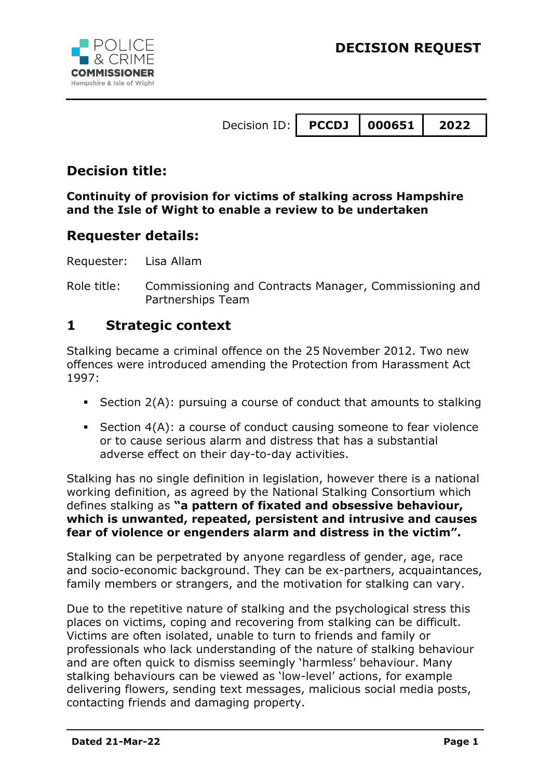



| Decision ID:   PCCDJ   000651   2022 |  |  |  |
|--------------------------------------|--|--|--|
|--------------------------------------|--|--|--|

## **Decision title:**

#### **Continuity of provision for victims of stalking across Hampshire and the Isle of Wight to enable a review to be undertaken**

### **Requester details:**

Requester: Lisa Allam

Role title: Commissioning and Contracts Manager, Commissioning and Partnerships Team

### **1 Strategic context**

Stalking became a criminal offence on the 25 November 2012. Two new offences were introduced amending the Protection from Harassment Act 1997:

- Section  $2(A)$ : pursuing a course of conduct that amounts to stalking
- Section 4(A): a course of conduct causing someone to fear violence or to cause serious alarm and distress that has a substantial adverse effect on their day-to-day activities.

Stalking has no single definition in legislation, however there is a national working definition, as agreed by the National Stalking Consortium which defines stalking as **"a pattern of fixated and obsessive behaviour, which is unwanted, repeated, persistent and intrusive and causes fear of violence or engenders alarm and distress in the victim".**

Stalking can be perpetrated by anyone regardless of gender, age, race and socio-economic background. They can be ex-partners, acquaintances, family members or strangers, and the motivation for stalking can vary.

Due to the repetitive nature of stalking and the psychological stress this places on victims, coping and recovering from stalking can be difficult. Victims are often isolated, unable to turn to friends and family or professionals who lack understanding of the nature of stalking behaviour and are often quick to dismiss seemingly 'harmless' behaviour. Many stalking behaviours can be viewed as 'low-level' actions, for example delivering flowers, sending text messages, malicious social media posts, contacting friends and damaging property.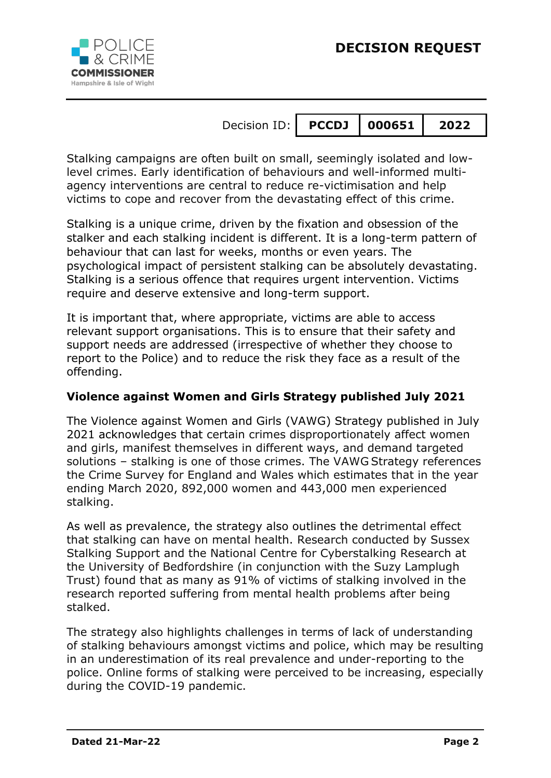



Stalking campaigns are often built on small, seemingly isolated and lowlevel crimes. Early identification of behaviours and well-informed multiagency interventions are central to reduce re-victimisation and help victims to cope and recover from the devastating effect of this crime.

Stalking is a unique crime, driven by the fixation and obsession of the stalker and each stalking incident is different. It is a long-term pattern of behaviour that can last for weeks, months or even years. The psychological impact of persistent stalking can be absolutely devastating. Stalking is a serious offence that requires urgent intervention. Victims require and deserve extensive and long-term support.

It is important that, where appropriate, victims are able to access relevant support organisations. This is to ensure that their safety and support needs are addressed (irrespective of whether they choose to report to the Police) and to reduce the risk they face as a result of the offending.

#### **Violence against Women and Girls Strategy published July 2021**

The Violence against Women and Girls (VAWG) Strategy published in July 2021 acknowledges that certain crimes disproportionately affect women and girls, manifest themselves in different ways, and demand targeted solutions – stalking is one of those crimes. The VAWG Strategy references the Crime Survey for England and Wales which estimates that in the year ending March 2020, 892,000 women and 443,000 men experienced stalking.

As well as prevalence, the strategy also outlines the detrimental effect that stalking can have on mental health. Research conducted by Sussex Stalking Support and the National Centre for Cyberstalking Research at the University of Bedfordshire (in conjunction with the Suzy Lamplugh Trust) found that as many as 91% of victims of stalking involved in the research reported suffering from mental health problems after being stalked.

The strategy also highlights challenges in terms of lack of understanding of stalking behaviours amongst victims and police, which may be resulting in an underestimation of its real prevalence and under-reporting to the police. Online forms of stalking were perceived to be increasing, especially during the COVID-19 pandemic.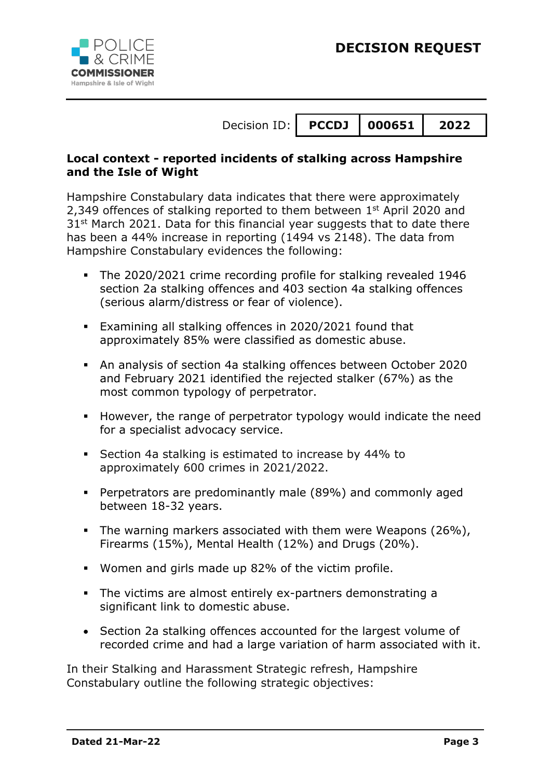## **DECISION REQUEST**



Decision ID: **P C C DJ 000651 2022**

#### **Local context - reported incidents of stalking across Hampshire and the Isle of Wight**

Hampshire Constabulary data indicates that there were approximately 2,349 offences of stalking reported to them between 1<sup>st</sup> April 2020 and 31<sup>st</sup> March 2021. Data for this financial year suggests that to date there has been a 44% increase in reporting (1494 vs 2148). The data from Hampshire Constabulary evidences the following:

- The 2020/2021 crime recording profile for stalking revealed 1946 section 2a stalking offences and 403 section 4a stalking offences (serious alarm/distress or fear of violence).
- Examining all stalking offences in 2020/2021 found that approximately 85% were classified as domestic abuse.
- An analysis of section 4a stalking offences between October 2020 and February 2021 identified the rejected stalker (67%) as the most common typology of perpetrator.
- However, the range of perpetrator typology would indicate the need for a specialist advocacy service.
- Section 4a stalking is estimated to increase by 44% to approximately 600 crimes in 2021/2022.
- Perpetrators are predominantly male (89%) and commonly aged between 18-32 years.
- The warning markers associated with them were Weapons (26%), Firearms (15%), Mental Health (12%) and Drugs (20%).
- Women and girls made up 82% of the victim profile.
- The victims are almost entirely ex-partners demonstrating a significant link to domestic abuse.
- Section 2a stalking offences accounted for the largest volume of recorded crime and had a large variation of harm associated with it.

In their Stalking and Harassment Strategic refresh, Hampshire Constabulary outline the following strategic objectives: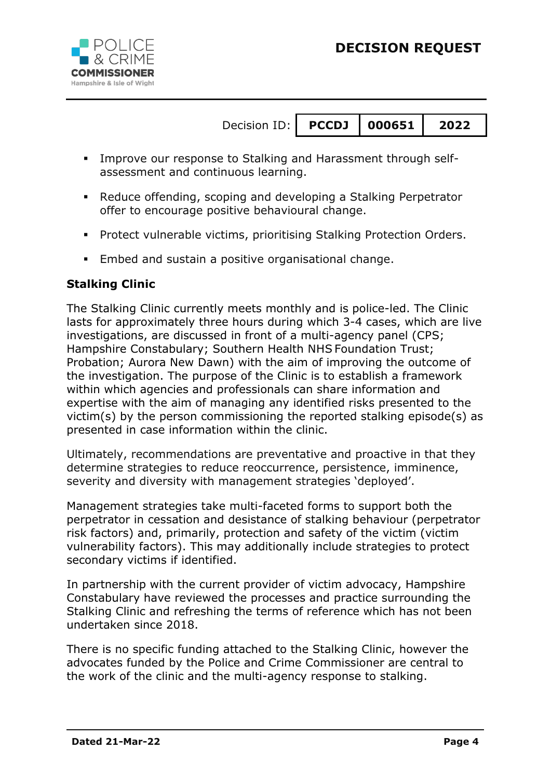



| Decision ID:   PCCDJ   000651   2022 |  |  |
|--------------------------------------|--|--|
|                                      |  |  |

- Improve our response to Stalking and Harassment through selfassessment and continuous learning.
- Reduce offending, scoping and developing a Stalking Perpetrator offer to encourage positive behavioural change.
- **Protect vulnerable victims, prioritising Stalking Protection Orders.**
- **Embed and sustain a positive organisational change.**

#### **Stalking Clinic**

The Stalking Clinic currently meets monthly and is police-led. The Clinic lasts for approximately three hours during which 3-4 cases, which are live investigations, are discussed in front of a multi-agency panel (CPS; Hampshire Constabulary; Southern Health NHS Foundation Trust; Probation; Aurora New Dawn) with the aim of improving the outcome of the investigation. The purpose of the Clinic is to establish a framework within which agencies and professionals can share information and expertise with the aim of managing any identified risks presented to the victim(s) by the person commissioning the reported stalking episode(s) as presented in case information within the clinic.

Ultimately, recommendations are preventative and proactive in that they determine strategies to reduce reoccurrence, persistence, imminence, severity and diversity with management strategies 'deployed'.

Management strategies take multi-faceted forms to support both the perpetrator in cessation and desistance of stalking behaviour (perpetrator risk factors) and, primarily, protection and safety of the victim (victim vulnerability factors). This may additionally include strategies to protect secondary victims if identified.

In partnership with the current provider of victim advocacy, Hampshire Constabulary have reviewed the processes and practice surrounding the Stalking Clinic and refreshing the terms of reference which has not been undertaken since 2018.

There is no specific funding attached to the Stalking Clinic, however the advocates funded by the Police and Crime Commissioner are central to the work of the clinic and the multi-agency response to stalking.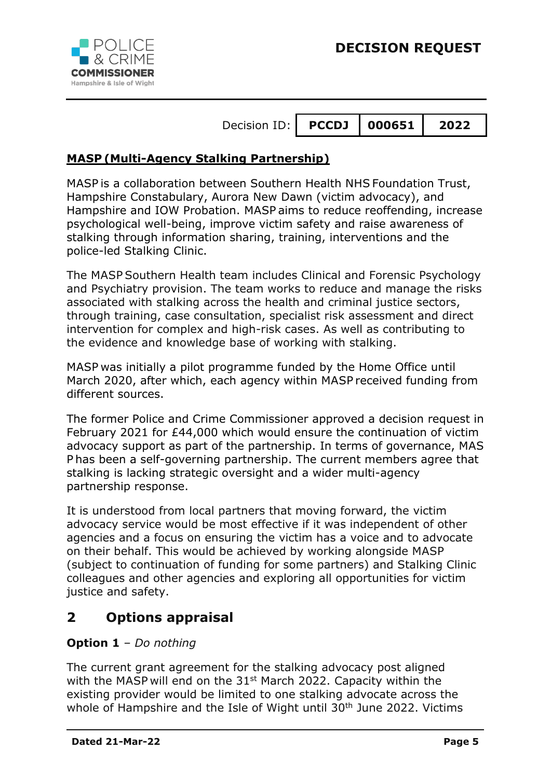



#### **M A S P (Multi-Agency Stalking Partnership)**

MASP is a collaboration between Southern Health NHS Foundation Trust, Hampshire Constabulary, Aurora New Dawn (victim advocacy), and Hampshire and IOW Probation. MASP aims to reduce reoffending, increase psychological well-being, improve victim safety and raise awareness of stalking through information sharing, training, interventions and the police-led Stalking Clinic.

The MASP Southern Health team includes Clinical and Forensic Psychology and Psychiatry provision. The team works to reduce and manage the risks associated with stalking across the health and criminal justice sectors, through training, case consultation, specialist risk assessment and direct intervention for complex and high-risk cases. As well as contributing to the evidence and knowledge base of working with stalking.

MASP was initially a pilot programme funded by the Home Office until March 2020, after which, each agency within MASP received funding from different sources.

The former Police and Crime Commissioner approved a decision request in February 2021 for £44,000 which would ensure the continuation of victim advocacy support as part of the partnership. In terms of governance, MAS P has been a self-governing partnership. The current members agree that stalking is lacking strategic oversight and a wider multi-agency partnership response.

It is understood from local partners that moving forward, the victim advocacy service would be most effective if it was independent of other agencies and a focus on ensuring the victim has a voice and to advocate on their behalf. This would be achieved by working alongside MASP (subject to continuation of funding for some partners) and Stalking Clinic colleagues and other agencies and exploring all opportunities for victim justice and safety.

## **2 Options appraisal**

#### **Option 1** – *Do nothing*

The current grant agreement for the stalking advocacy post aligned with the MASP will end on the  $31<sup>st</sup>$  March 2022. Capacity within the existing provider would be limited to one stalking advocate across the whole of Hampshire and the Isle of Wight until 30<sup>th</sup> June 2022. Victims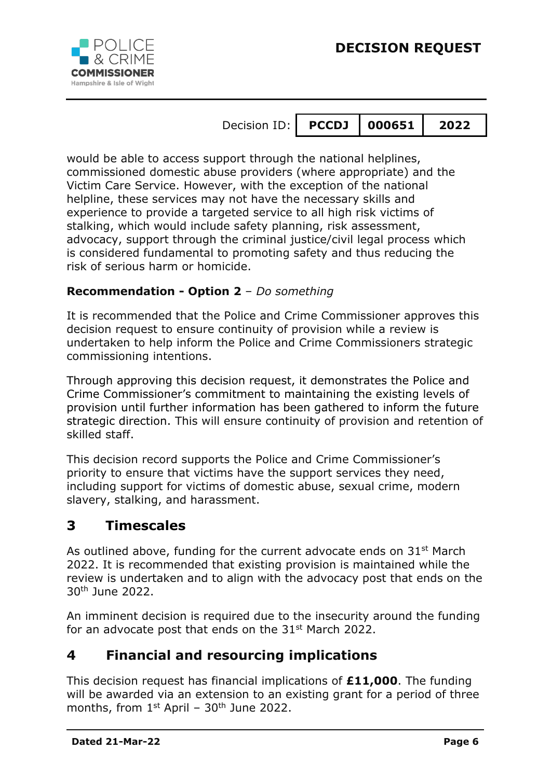

would be able to access support through the national helplines, commissioned domestic abuse providers (where appropriate) and the Victim Care Service. However, with the exception of the national helpline, these services may not have the necessary skills and experience to provide a targeted service to all high risk victims of stalking, which would include safety planning, risk assessment, advocacy, support through the criminal justice/civil legal process which is considered fundamental to promoting safety and thus reducing the risk of serious harm or homicide.

#### **Recommendation - Option 2** – *Do something*

It is recommended that the Police and Crime Commissioner approves this decision request to ensure continuity of provision while a review is undertaken to help inform the Police and Crime Commissioners strategic commissioning intentions.

Through approving this decision request, it demonstrates the Police and Crime Commissioner's commitment to maintaining the existing levels of provision until further information has been gathered to inform the future strategic direction. This will ensure continuity of provision and retention of skilled staff.

This decision record supports the Police and Crime Commissioner's priority to ensure that victims have the support services they need, including support for victims of domestic abuse, sexual crime, modern slavery, stalking, and harassment.

## **3 Timescales**

As outlined above, funding for the current advocate ends on 31<sup>st</sup> March 2022. It is recommended that existing provision is maintained while the review is undertaken and to align with the advocacy post that ends on the 30th June 2022.

An imminent decision is required due to the insecurity around the funding for an advocate post that ends on the  $31<sup>st</sup>$  March 2022.

## **4 Financial and resourcing implications**

This decision request has financial implications of **£11,000**. The funding will be awarded via an extension to an existing grant for a period of three months, from  $1^{st}$  April -  $30^{th}$  June 2022.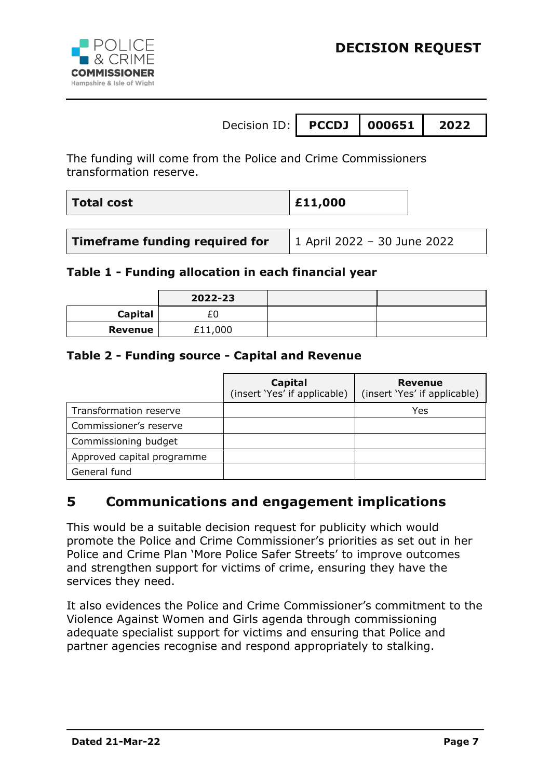

The funding will come from the Police and Crime Commissioners transformation reserve.

| <b>Total cost</b> | $\vert$ £11,000 |
|-------------------|-----------------|
|-------------------|-----------------|

| Timeframe funding required for | 1 April 2022 - 30 June 2022 |
|--------------------------------|-----------------------------|
|--------------------------------|-----------------------------|

#### **Table 1 - Funding allocation in each financial year**

|                | 2022-23 |  |
|----------------|---------|--|
| <b>Capital</b> |         |  |
| <b>Revenue</b> | £11,000 |  |

#### **Table 2 - Funding source - Capital and Revenue**

|                            | Capital<br>(insert 'Yes' if applicable) | Revenue<br>(insert 'Yes' if applicable) |
|----------------------------|-----------------------------------------|-----------------------------------------|
| Transformation reserve     |                                         | Yes                                     |
| Commissioner's reserve     |                                         |                                         |
| Commissioning budget       |                                         |                                         |
| Approved capital programme |                                         |                                         |
| General fund               |                                         |                                         |

## **5 Communications and engagement implications**

This would be a suitable decision request for publicity which would promote the Police and Crime Commissioner's priorities as set out in her Police and Crime Plan 'More Police Safer Streets' to improve outcomes and strengthen support for victims of crime, ensuring they have the services they need.

It also evidences the Police and Crime Commissioner's commitment to the Violence Against Women and Girls agenda through commissioning adequate specialist support for victims and ensuring that Police and partner agencies recognise and respond appropriately to stalking.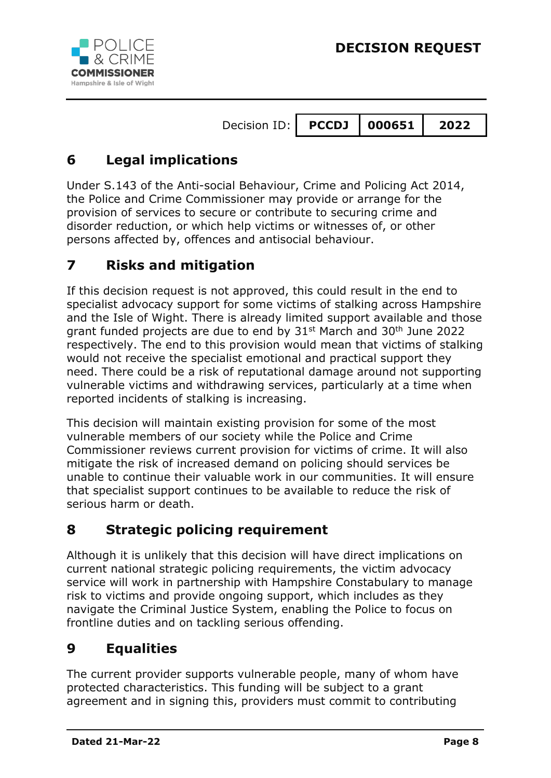



# **6 Legal implications**

Under S.143 of the Anti-social Behaviour, Crime and Policing Act 2014, the Police and Crime Commissioner may provide or arrange for the provision of services to secure or contribute to securing crime and disorder reduction, or which help victims or witnesses of, or other persons affected by, offences and antisocial behaviour.

# **7 Risks and mitigation**

If this decision request is not approved, this could result in the end to specialist advocacy support for some victims of stalking across Hampshire and the Isle of Wight. There is already limited support available and those grant funded projects are due to end by 31st March and 30th June 2022 respectively. The end to this provision would mean that victims of stalking would not receive the specialist emotional and practical support they need. There could be a risk of reputational damage around not supporting vulnerable victims and withdrawing services, particularly at a time when reported incidents of stalking is increasing.

This decision will maintain existing provision for some of the most vulnerable members of our society while the Police and Crime Commissioner reviews current provision for victims of crime. It will also mitigate the risk of increased demand on policing should services be unable to continue their valuable work in our communities. It will ensure that specialist support continues to be available to reduce the risk of serious harm or death.

## **8 Strategic policing requirement**

Although it is unlikely that this decision will have direct implications on current national strategic policing requirements, the victim advocacy service will work in partnership with Hampshire Constabulary to manage risk to victims and provide ongoing support, which includes as they navigate the Criminal Justice System, enabling the Police to focus on frontline duties and on tackling serious offending.

# **9 Equalities**

The current provider supports vulnerable people, many of whom have protected characteristics. This funding will be subject to a grant agreement and in signing this, providers must commit to contributing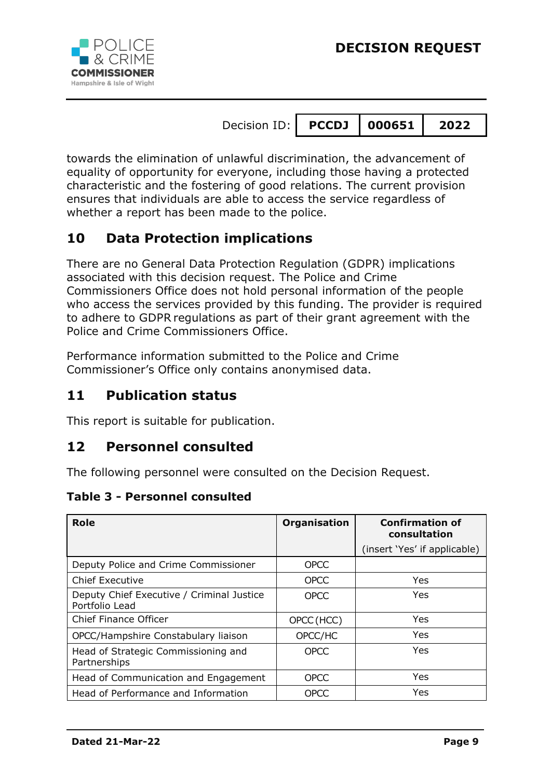

towards the elimination of unlawful discrimination, the advancement of equality of opportunity for everyone, including those having a protected characteristic and the fostering of good relations. The current provision ensures that individuals are able to access the service regardless of whether a report has been made to the police.

# **10 Data Protection implications**

There are no General Data Protection Regulation (GDPR) implications associated with this decision request. The Police and Crime Commissioners Office does not hold personal information of the people who access the services provided by this funding. The provider is required to adhere to GDPR regulations as part of their grant agreement with the Police and Crime Commissioners Office.

Performance information submitted to the Police and Crime Commissioner's Office only contains anonymised data.

## **11 Publication status**

This report is suitable for publication.

## **12 Personnel consulted**

The following personnel were consulted on the Decision Request.

#### **Table 3 - Personnel consulted**

| <b>Role</b>                                                 | <b>Organisation</b> | <b>Confirmation of</b><br>consultation |
|-------------------------------------------------------------|---------------------|----------------------------------------|
|                                                             |                     | (insert 'Yes' if applicable)           |
| Deputy Police and Crime Commissioner                        | <b>OPCC</b>         |                                        |
| <b>Chief Executive</b>                                      | <b>OPCC</b>         | Yes                                    |
| Deputy Chief Executive / Criminal Justice<br>Portfolio Lead | <b>OPCC</b>         | Yes                                    |
| <b>Chief Finance Officer</b>                                | OPCC (HCC)          | <b>Yes</b>                             |
| OPCC/Hampshire Constabulary liaison                         | OPCC/HC             | <b>Yes</b>                             |
| Head of Strategic Commissioning and<br>Partnerships         | OPCC                | Yes                                    |
| Head of Communication and Engagement                        | <b>OPCC</b>         | Yes                                    |
| Head of Performance and Information                         | <b>OPCC</b>         | Yes                                    |